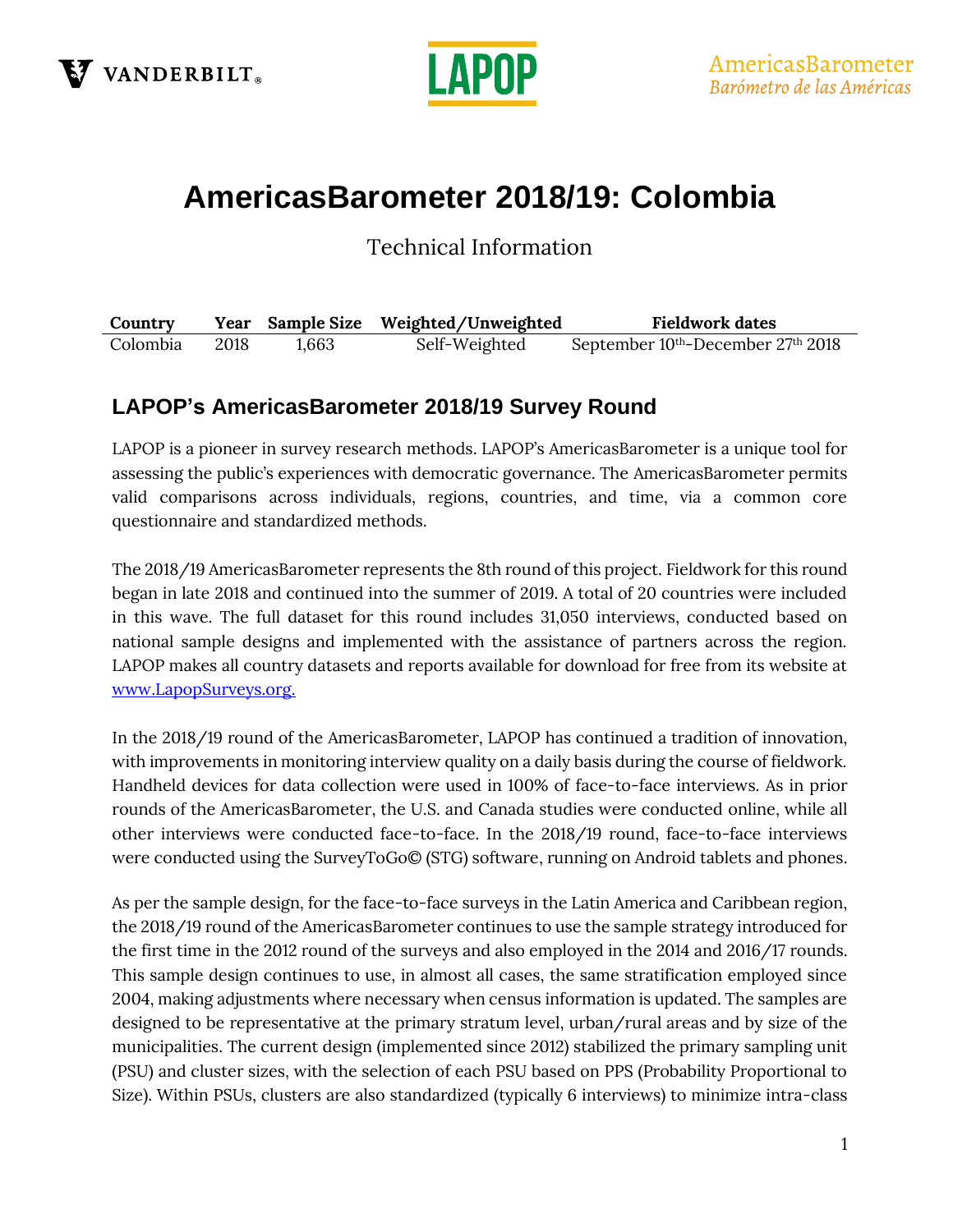



# **AmericasBarometer 2018/19: Colombia**

Technical Information

| Country  |      |       | Year Sample Size Weighted/Unweighted | <b>Fieldwork dates</b>                                     |
|----------|------|-------|--------------------------------------|------------------------------------------------------------|
| Colombia | 2018 | 1.663 | Self-Weighted                        | September 10 <sup>th</sup> -December 27 <sup>th</sup> 2018 |

### **LAPOP's AmericasBarometer 2018/19 Survey Round**

LAPOP is a pioneer in survey research methods. LAPOP's AmericasBarometer is a unique tool for assessing the public's experiences with democratic governance. The AmericasBarometer permits valid comparisons across individuals, regions, countries, and time, via a common core questionnaire and standardized methods.

The 2018/19 AmericasBarometer represents the 8th round of this project. Fieldwork for this round began in late 2018 and continued into the summer of 2019. A total of 20 countries were included in this wave. The full dataset for this round includes 31,050 interviews, conducted based on national sample designs and implemented with the assistance of partners across the region. LAPOP makes all country datasets and reports available for download for free from its website at [www.LapopSurveys.org.](http://www.lapopsurveys.org/)

In the 2018/19 round of the AmericasBarometer, LAPOP has continued a tradition of innovation, with improvements in monitoring interview quality on a daily basis during the course of fieldwork. Handheld devices for data collection were used in 100% of face-to-face interviews. As in prior rounds of the AmericasBarometer, the U.S. and Canada studies were conducted online, while all other interviews were conducted face-to-face. In the 2018/19 round, face-to-face interviews were conducted using the SurveyToGo© (STG) software, running on Android tablets and phones.

As per the sample design, for the face-to-face surveys in the Latin America and Caribbean region, the 2018/19 round of the AmericasBarometer continues to use the sample strategy introduced for the first time in the 2012 round of the surveys and also employed in the 2014 and 2016/17 rounds. This sample design continues to use, in almost all cases, the same stratification employed since 2004, making adjustments where necessary when census information is updated. The samples are designed to be representative at the primary stratum level, urban/rural areas and by size of the municipalities. The current design (implemented since 2012) stabilized the primary sampling unit (PSU) and cluster sizes, with the selection of each PSU based on PPS (Probability Proportional to Size). Within PSUs, clusters are also standardized (typically 6 interviews) to minimize intra-class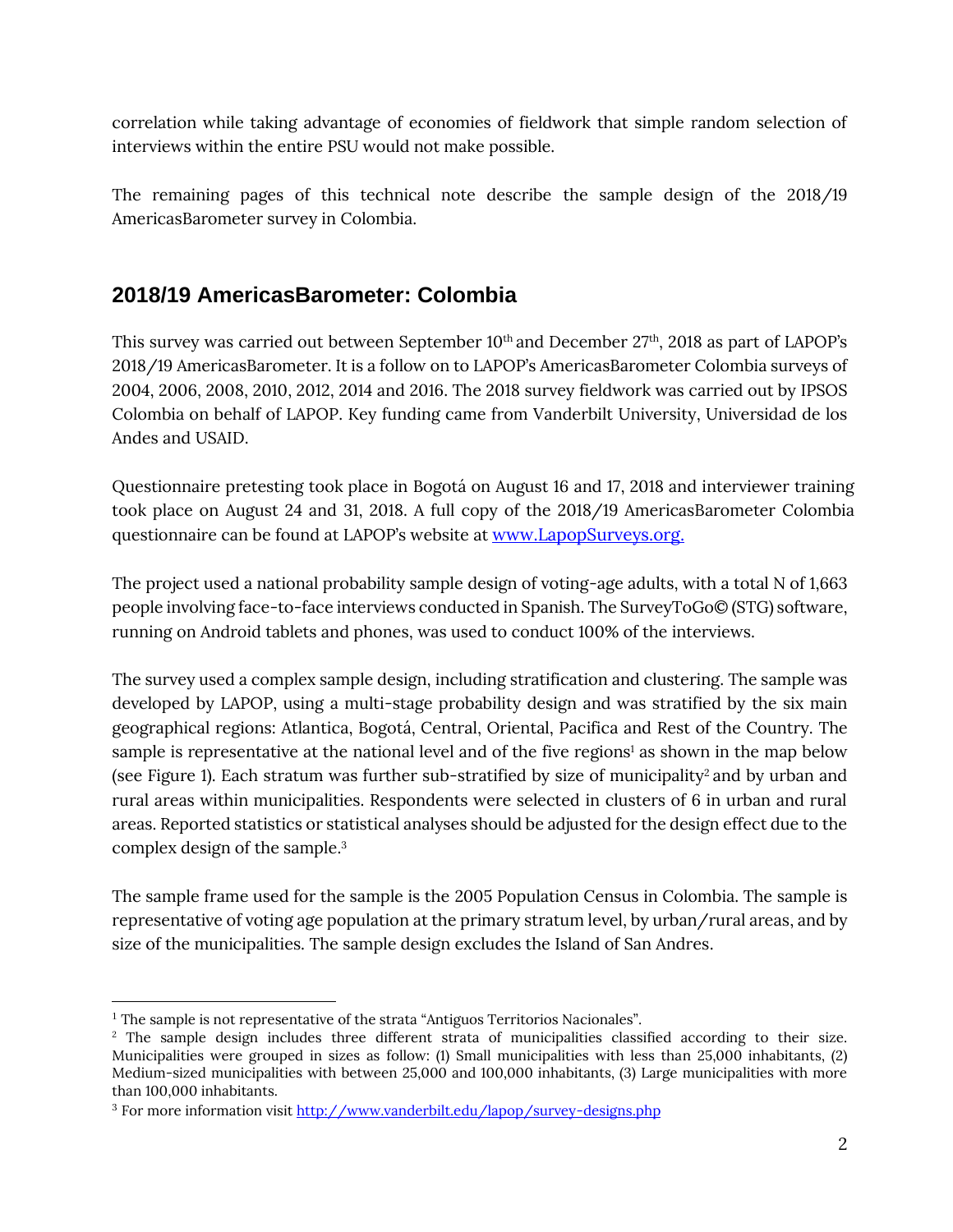correlation while taking advantage of economies of fieldwork that simple random selection of interviews within the entire PSU would not make possible.

The remaining pages of this technical note describe the sample design of the 2018/19 AmericasBarometer survey in Colombia.

# **2018/19 AmericasBarometer: Colombia**

This survey was carried out between September  $10^{\text{th}}$  and December  $27^{\text{th}}$ , 2018 as part of LAPOP's 2018/19 AmericasBarometer. It is a follow on to LAPOP's AmericasBarometer Colombia surveys of 2004, 2006, 2008, 2010, 2012, 2014 and 2016. The 2018 survey fieldwork was carried out by IPSOS Colombia on behalf of LAPOP. Key funding came from Vanderbilt University, Universidad de los Andes and USAID.

Questionnaire pretesting took place in Bogotá on August 16 and 17, 2018 and interviewer training took place on August 24 and 31, 2018. A full copy of the 2018/19 AmericasBarometer Colombia questionnaire can be found at LAPOP's website at [www.LapopSurveys.org.](http://www.lapopsurveys.org/)

The project used a national probability sample design of voting-age adults, with a total N of 1,663 people involving face-to-face interviews conducted in Spanish. The SurveyToGo© (STG) software, running on Android tablets and phones, was used to conduct 100% of the interviews.

The survey used a complex sample design, including stratification and clustering. The sample was developed by LAPOP, using a multi-stage probability design and was stratified by the six main geographical regions: Atlantica, Bogotá, Central, Oriental, Pacifica and Rest of the Country. The sample is representative at the national level and of the five regions<sup>1</sup> as shown in the map below (see Figure 1). Each stratum was further sub-stratified by size of municipality<sup>2</sup> and by urban and rural areas within municipalities. Respondents were selected in clusters of 6 in urban and rural areas. Reported statistics or statistical analyses should be adjusted for the design effect due to the complex design of the sample. 3

The sample frame used for the sample is the 2005 Population Census in Colombia. The sample is representative of voting age population at the primary stratum level, by urban/rural areas, and by size of the municipalities. The sample design excludes the Island of San Andres.

<sup>&</sup>lt;sup>1</sup> The sample is not representative of the strata "Antiguos Territorios Nacionales".

<sup>&</sup>lt;sup>2</sup> The sample design includes three different strata of municipalities classified according to their size. Municipalities were grouped in sizes as follow: (1) Small municipalities with less than 25,000 inhabitants, (2) Medium-sized municipalities with between 25,000 and 100,000 inhabitants, (3) Large municipalities with more than 100,000 inhabitants.

<sup>3</sup> For more information visi[t http://www.vanderbilt.edu/lapop/survey-designs.php](http://www.vanderbilt.edu/lapop/survey-designs.php)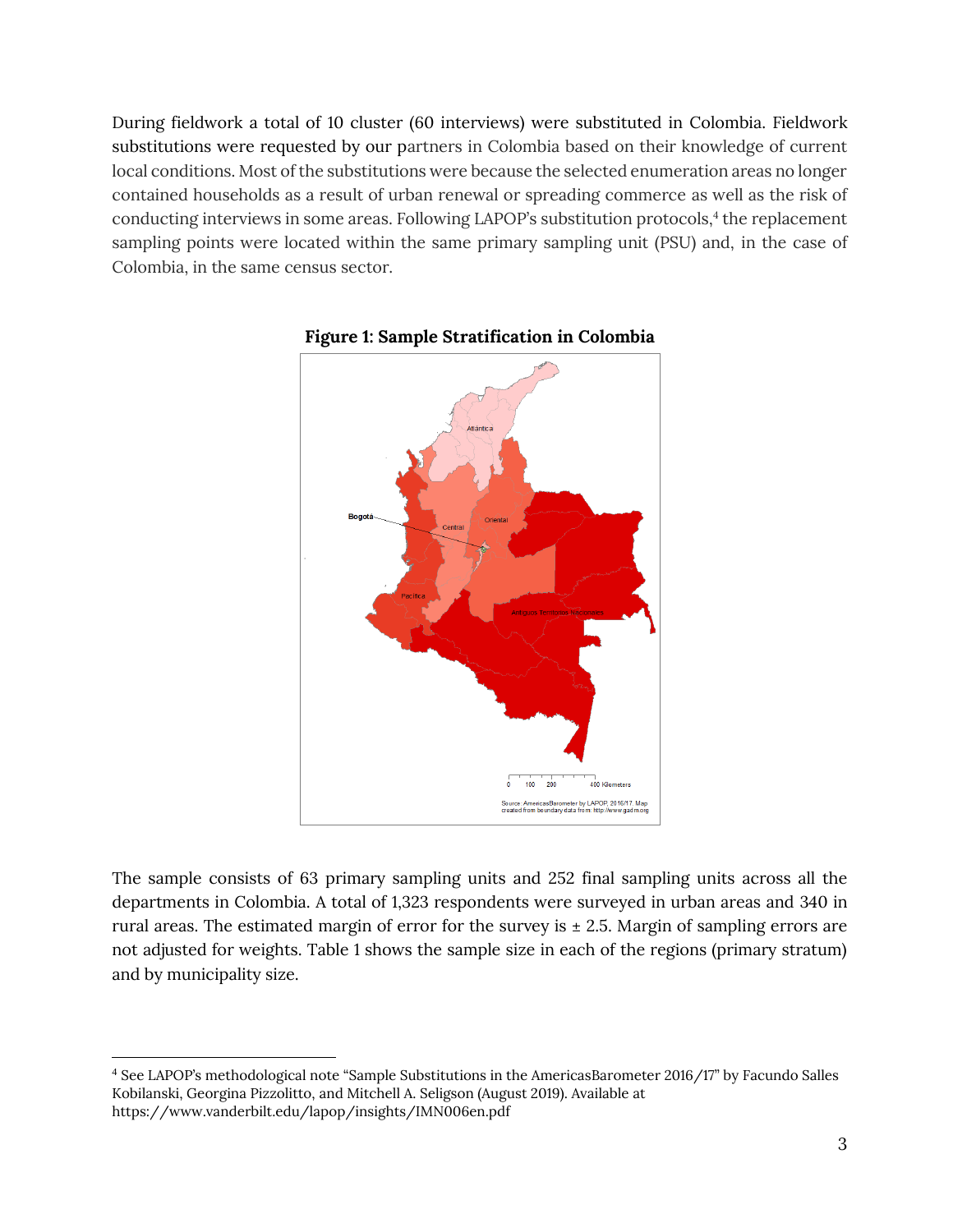During fieldwork a total of 10 cluster (60 interviews) were substituted in Colombia. Fieldwork substitutions were requested by our partners in Colombia based on their knowledge of current local conditions. Most of the substitutions were because the selected enumeration areas no longer contained households as a result of urban renewal or spreading commerce as well as the risk of conducting interviews in some areas. Following LAPOP's substitution protocols,<sup>4</sup> the replacement sampling points were located within the same primary sampling unit (PSU) and, in the case of Colombia, in the same census sector.





The sample consists of 63 primary sampling units and 252 final sampling units across all the departments in Colombia. A total of 1,323 respondents were surveyed in urban areas and 340 in rural areas. The estimated margin of error for the survey is  $\pm$  2.5. Margin of sampling errors are not adjusted for weights. Table 1 shows the sample size in each of the regions (primary stratum) and by municipality size.

<sup>4</sup> See LAPOP's methodological note "Sample Substitutions in the AmericasBarometer 2016/17" by Facundo Salles Kobilanski, Georgina Pizzolitto, and Mitchell A. Seligson (August 2019). Available at <https://www.vanderbilt.edu/lapop/insights/IMN006en.pdf>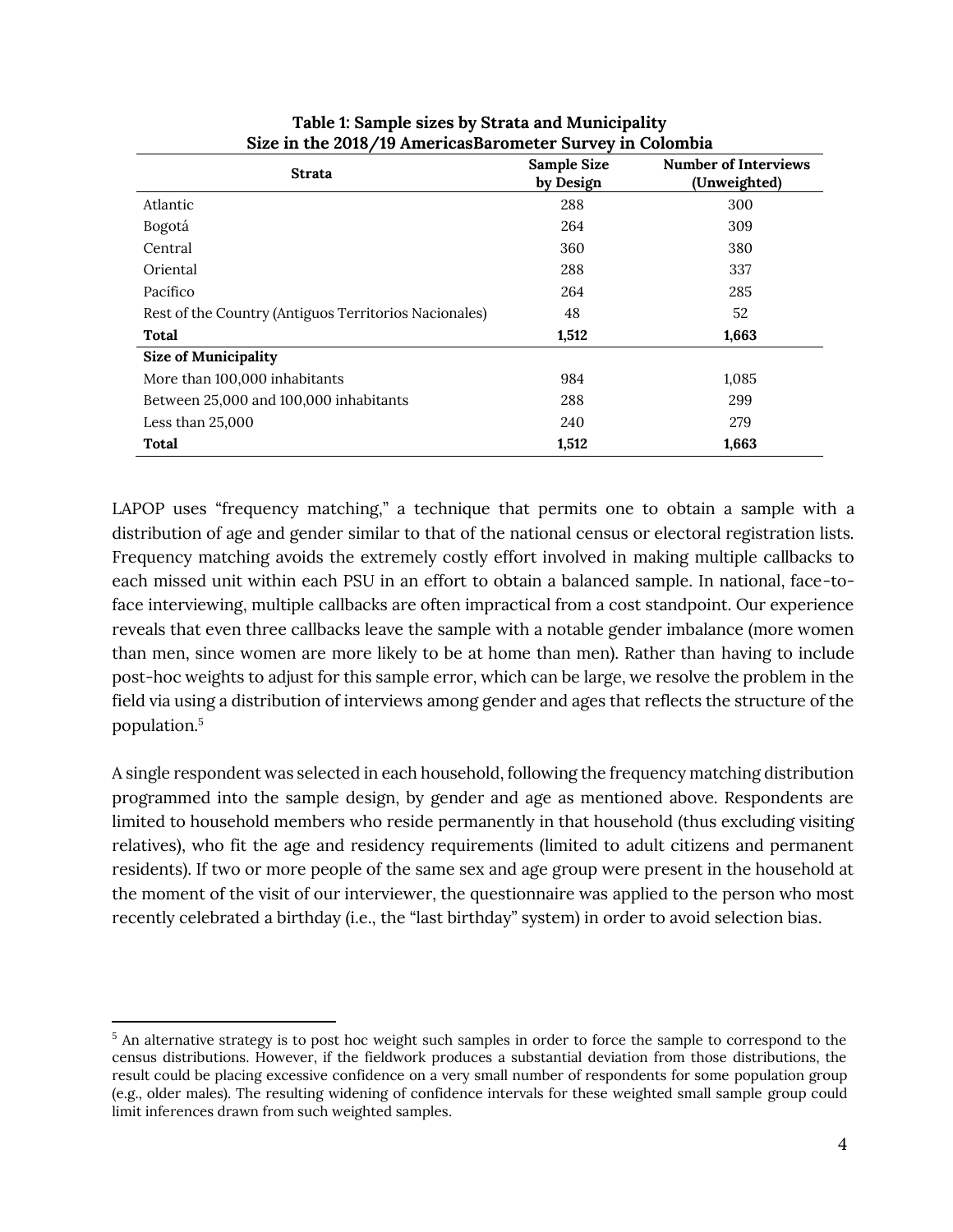| <b>Strata</b>                                         | Sample Size<br>by Design | <b>Number of Interviews</b><br>(Unweighted) |
|-------------------------------------------------------|--------------------------|---------------------------------------------|
| Atlantic                                              | 288                      | 300                                         |
| Bogotá                                                | 264                      | 309                                         |
| Central                                               | 360                      | 380                                         |
| Oriental                                              | 288                      | 337                                         |
| Pacífico                                              | 264                      | 285                                         |
| Rest of the Country (Antiguos Territorios Nacionales) | 48                       | 52                                          |
| Total                                                 | 1,512                    | 1,663                                       |
| <b>Size of Municipality</b>                           |                          |                                             |
| More than 100,000 inhabitants                         | 984                      | 1,085                                       |
| Between 25,000 and 100,000 inhabitants                | 288                      | 299                                         |
| Less than $25,000$                                    | 240                      | 279                                         |
| Total                                                 | 1,512                    | 1,663                                       |

#### **Table 1: Sample sizes by Strata and Municipality Size in the 2018/19 AmericasBarometer Survey in Colombia**

LAPOP uses "frequency matching," a technique that permits one to obtain a sample with a distribution of age and gender similar to that of the national census or electoral registration lists. Frequency matching avoids the extremely costly effort involved in making multiple callbacks to each missed unit within each PSU in an effort to obtain a balanced sample. In national, face-toface interviewing, multiple callbacks are often impractical from a cost standpoint. Our experience reveals that even three callbacks leave the sample with a notable gender imbalance (more women than men, since women are more likely to be at home than men). Rather than having to include post-hoc weights to adjust for this sample error, which can be large, we resolve the problem in the field via using a distribution of interviews among gender and ages that reflects the structure of the population.<sup>5</sup>

A single respondent was selected in each household, following the frequency matching distribution programmed into the sample design, by gender and age as mentioned above. Respondents are limited to household members who reside permanently in that household (thus excluding visiting relatives), who fit the age and residency requirements (limited to adult citizens and permanent residents). If two or more people of the same sex and age group were present in the household at the moment of the visit of our interviewer, the questionnaire was applied to the person who most recently celebrated a birthday (i.e., the "last birthday" system) in order to avoid selection bias.

<sup>&</sup>lt;sup>5</sup> An alternative strategy is to post hoc weight such samples in order to force the sample to correspond to the census distributions. However, if the fieldwork produces a substantial deviation from those distributions, the result could be placing excessive confidence on a very small number of respondents for some population group (e.g., older males). The resulting widening of confidence intervals for these weighted small sample group could limit inferences drawn from such weighted samples.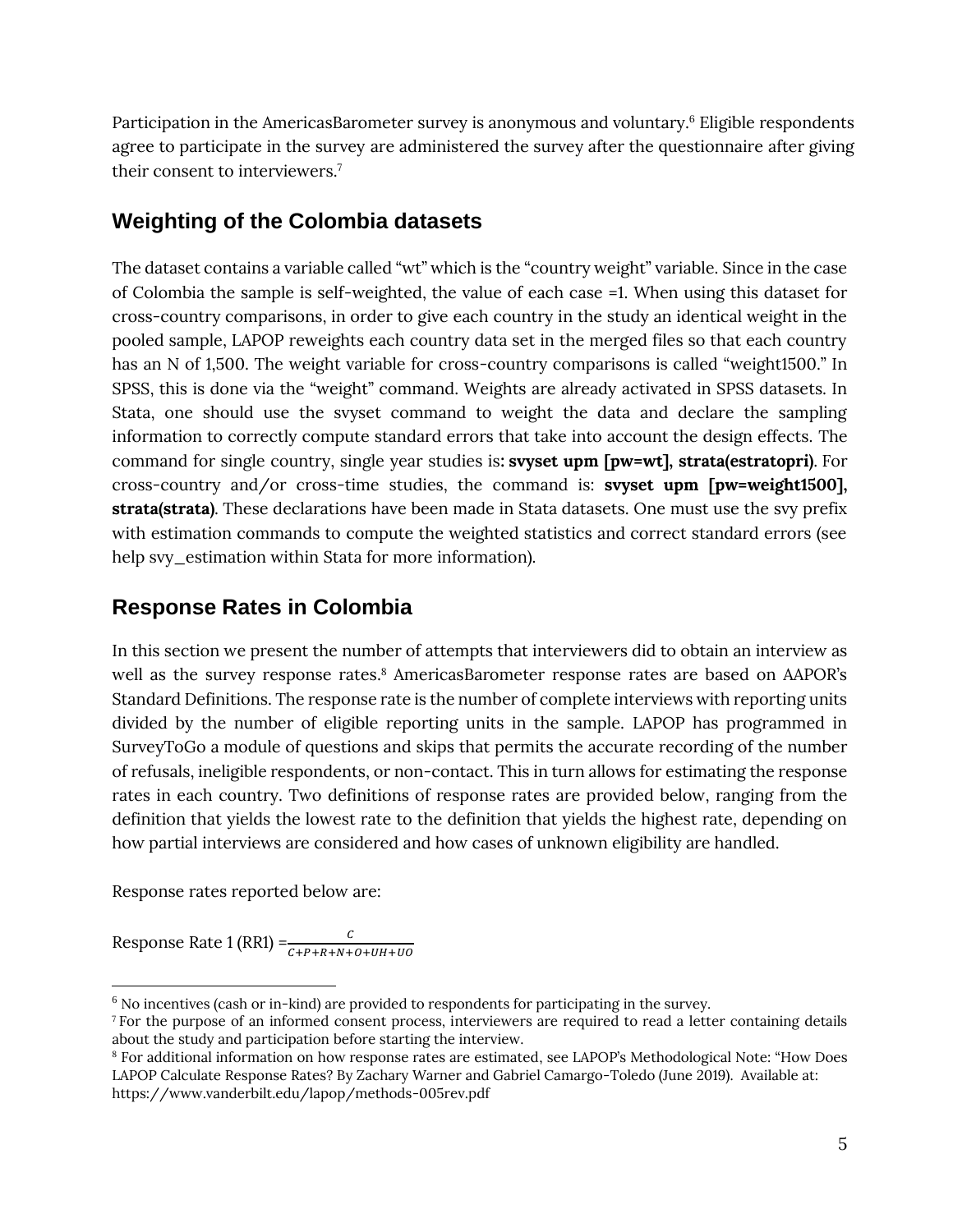Participation in the AmericasBarometer survey is anonymous and voluntary. <sup>6</sup> Eligible respondents agree to participate in the survey are administered the survey after the questionnaire after giving their consent to interviewers. 7

# **Weighting of the Colombia datasets**

The dataset contains a variable called "wt" which is the "country weight" variable. Since in the case of Colombia the sample is self-weighted, the value of each case =1. When using this dataset for cross-country comparisons, in order to give each country in the study an identical weight in the pooled sample, LAPOP reweights each country data set in the merged files so that each country has an N of 1,500. The weight variable for cross-country comparisons is called "weight1500." In SPSS, this is done via the "weight" command. Weights are already activated in SPSS datasets. In Stata, one should use the svyset command to weight the data and declare the sampling information to correctly compute standard errors that take into account the design effects. The command for single country, single year studies is**: svyset upm [pw=wt], strata(estratopri)**. For cross-country and/or cross-time studies, the command is: **svyset upm [pw=weight1500], strata(strata)**. These declarations have been made in Stata datasets. One must use the svy prefix with estimation commands to compute the weighted statistics and correct standard errors (see help svy\_estimation within Stata for more information).

# **Response Rates in Colombia**

In this section we present the number of attempts that interviewers did to obtain an interview as well as the survey response rates. <sup>8</sup> AmericasBarometer response rates are based on AAPOR's Standard Definitions. The response rate is the number of complete interviews with reporting units divided by the number of eligible reporting units in the sample. LAPOP has programmed in SurveyToGo a module of questions and skips that permits the accurate recording of the number of refusals, ineligible respondents, or non-contact. This in turn allows for estimating the response rates in each country. Two definitions of response rates are provided below, ranging from the definition that yields the lowest rate to the definition that yields the highest rate, depending on how partial interviews are considered and how cases of unknown eligibility are handled.

Response rates reported below are:

Response Rate 1 (RR1) = $\frac{c}{c + p + R + N + o + UH + UO}$ 

 $6$  No incentives (cash or in-kind) are provided to respondents for participating in the survey.

<sup>&</sup>lt;sup>7</sup> For the purpose of an informed consent process, interviewers are required to read a letter containing details about the study and participation before starting the interview.

<sup>8</sup> For additional information on how response rates are estimated, see LAPOP's Methodological Note: "How Does LAPOP Calculate Response Rates? By Zachary Warner and Gabriel Camargo-Toledo (June 2019). Available at: <https://www.vanderbilt.edu/lapop/methods-005rev.pdf>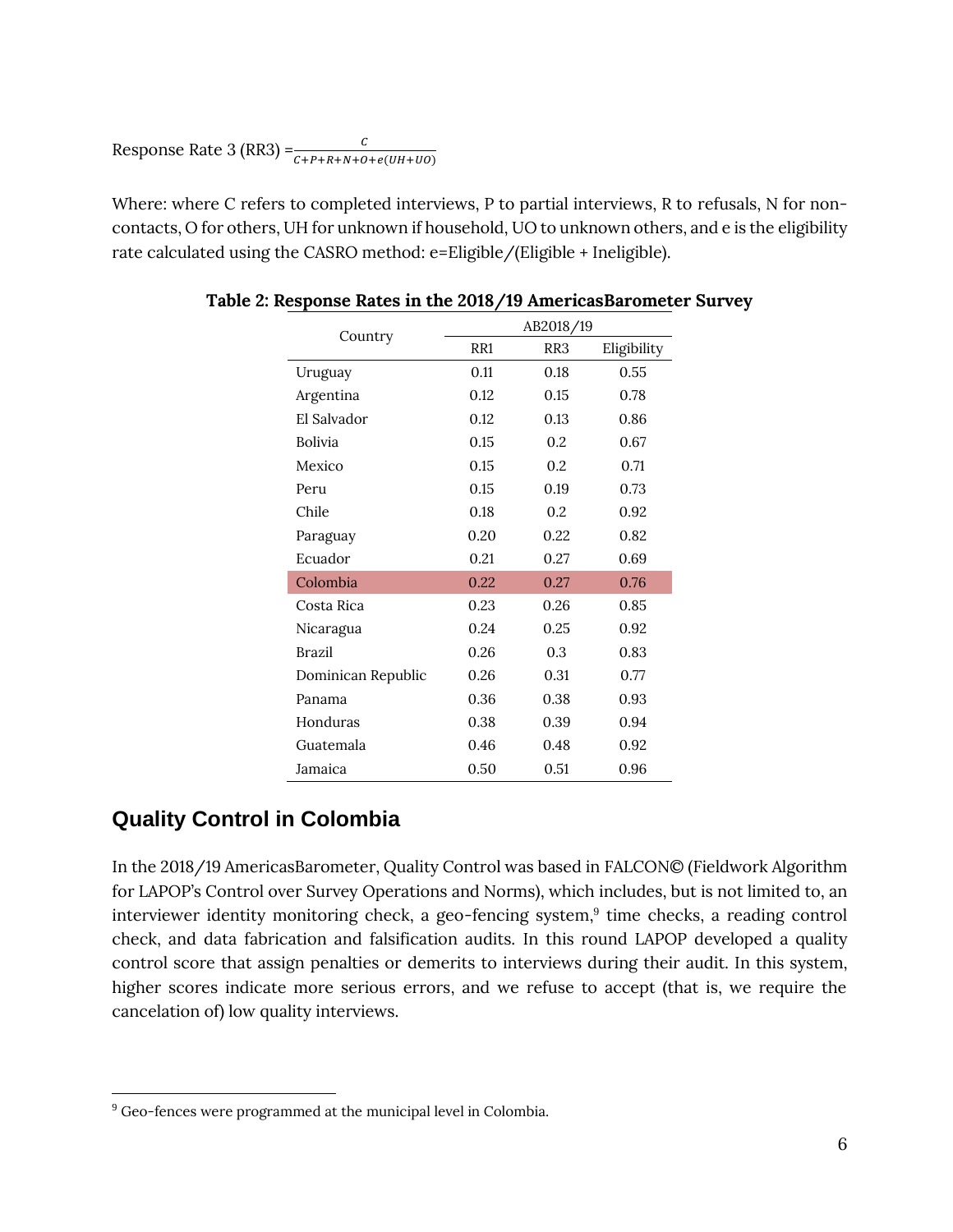Response Rate 3 (RR3) =  $\frac{c}{c + P + R + N + O + e(UH + UO)}$ 

Where: where C refers to completed interviews, P to partial interviews, R to refusals, N for noncontacts, O for others, UH for unknown if household, UO to unknown others, and e is the eligibility rate calculated using the CASRO method: e=Eligible/(Eligible + Ineligible).

|                    | AB2018/19       |                 |             |
|--------------------|-----------------|-----------------|-------------|
| Country            | RR <sub>1</sub> | RR <sub>3</sub> | Eligibility |
| Uruguay            | 0.11            | 0.18            | 0.55        |
| Argentina          | 0.12            | 0.15            | 0.78        |
| El Salvador        | 0.12            | 0.13            | 0.86        |
| <b>Bolivia</b>     | 0.15            | 0.2             | 0.67        |
| Mexico             | 0.15            | 0.2             | 0.71        |
| Peru               | 0.15            | 0.19            | 0.73        |
| Chile              | 0.18            | 0.2             | 0.92        |
| Paraguay           | 0.20            | 0.22            | 0.82        |
| Ecuador            | 0.21            | 0.27            | 0.69        |
| Colombia           | 0.22            | 0.27            | 0.76        |
| Costa Rica         | 0.23            | 0.26            | 0.85        |
| Nicaragua          | 0.24            | 0.25            | 0.92        |
| <b>Brazil</b>      | 0.26            | 0.3             | 0.83        |
| Dominican Republic | 0.26            | 0.31            | 0.77        |
| Panama             | 0.36            | 0.38            | 0.93        |
| Honduras           | 0.38            | 0.39            | 0.94        |
| Guatemala          | 0.46            | 0.48            | 0.92        |
| Jamaica            | 0.50            | 0.51            | 0.96        |

#### **Quality Control in Colombia**

In the 2018/19 AmericasBarometer, Quality Control was based in FALCON© (Fieldwork Algorithm for LAPOP's Control over Survey Operations and Norms), which includes, but is not limited to, an interviewer identity monitoring check, a geo-fencing system, 9 time checks, a reading control check, and data fabrication and falsification audits. In this round LAPOP developed a quality control score that assign penalties or demerits to interviews during their audit. In this system, higher scores indicate more serious errors, and we refuse to accept (that is, we require the cancelation of) low quality interviews.

<sup>&</sup>lt;sup>9</sup> Geo-fences were programmed at the municipal level in Colombia.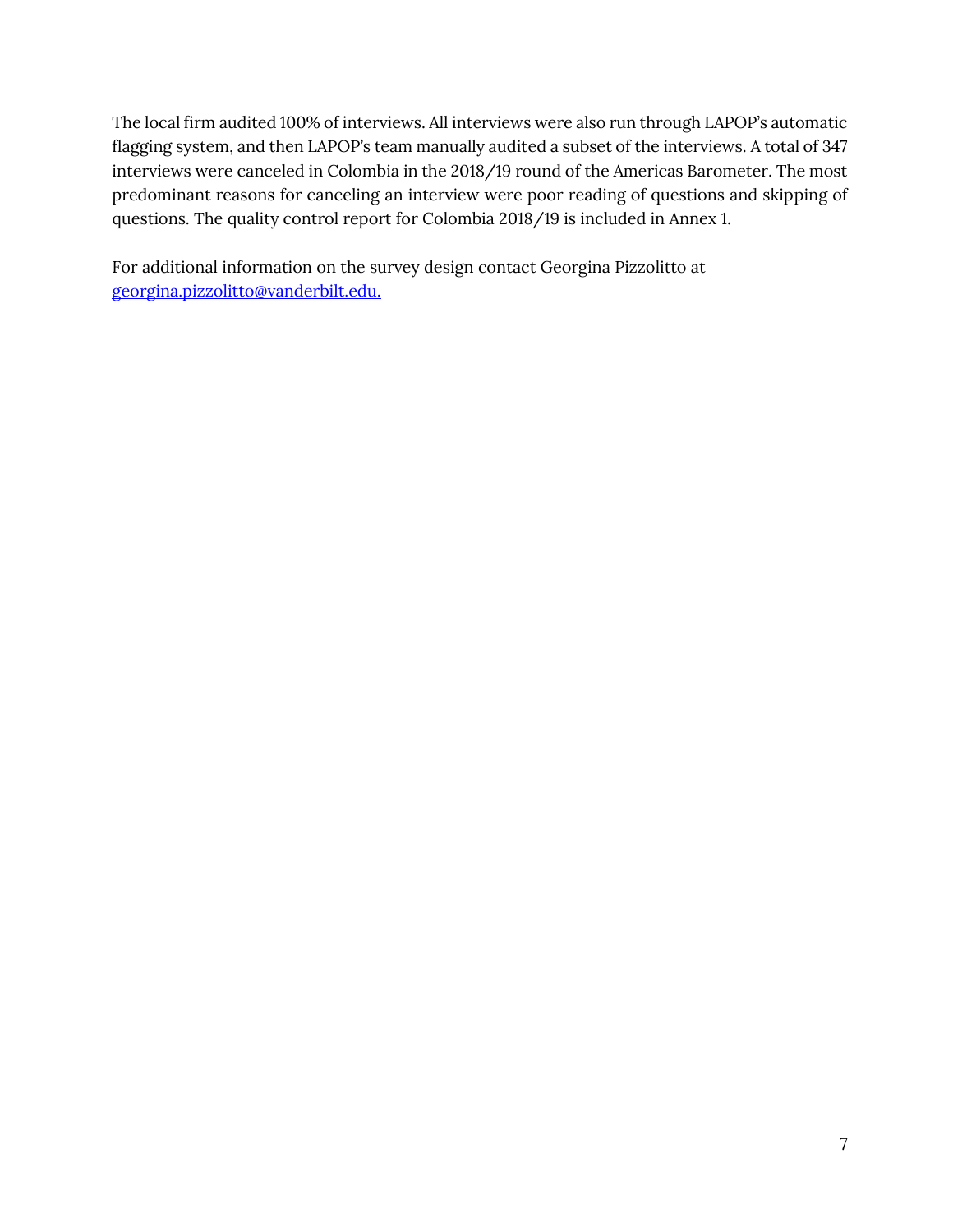The local firm audited 100% of interviews. All interviews were also run through LAPOP's automatic flagging system, and then LAPOP's team manually audited a subset of the interviews. A total of 347 interviews were canceled in Colombia in the 2018/19 round of the Americas Barometer. The most predominant reasons for canceling an interview were poor reading of questions and skipping of questions. The quality control report for Colombia 2018/19 is included in Annex 1.

For additional information on the survey design contact Georgina Pizzolitto at [georgina.pizzolitto@vanderbilt.edu.](mailto:georgina.pizzolitto@vanderbilt.edu.)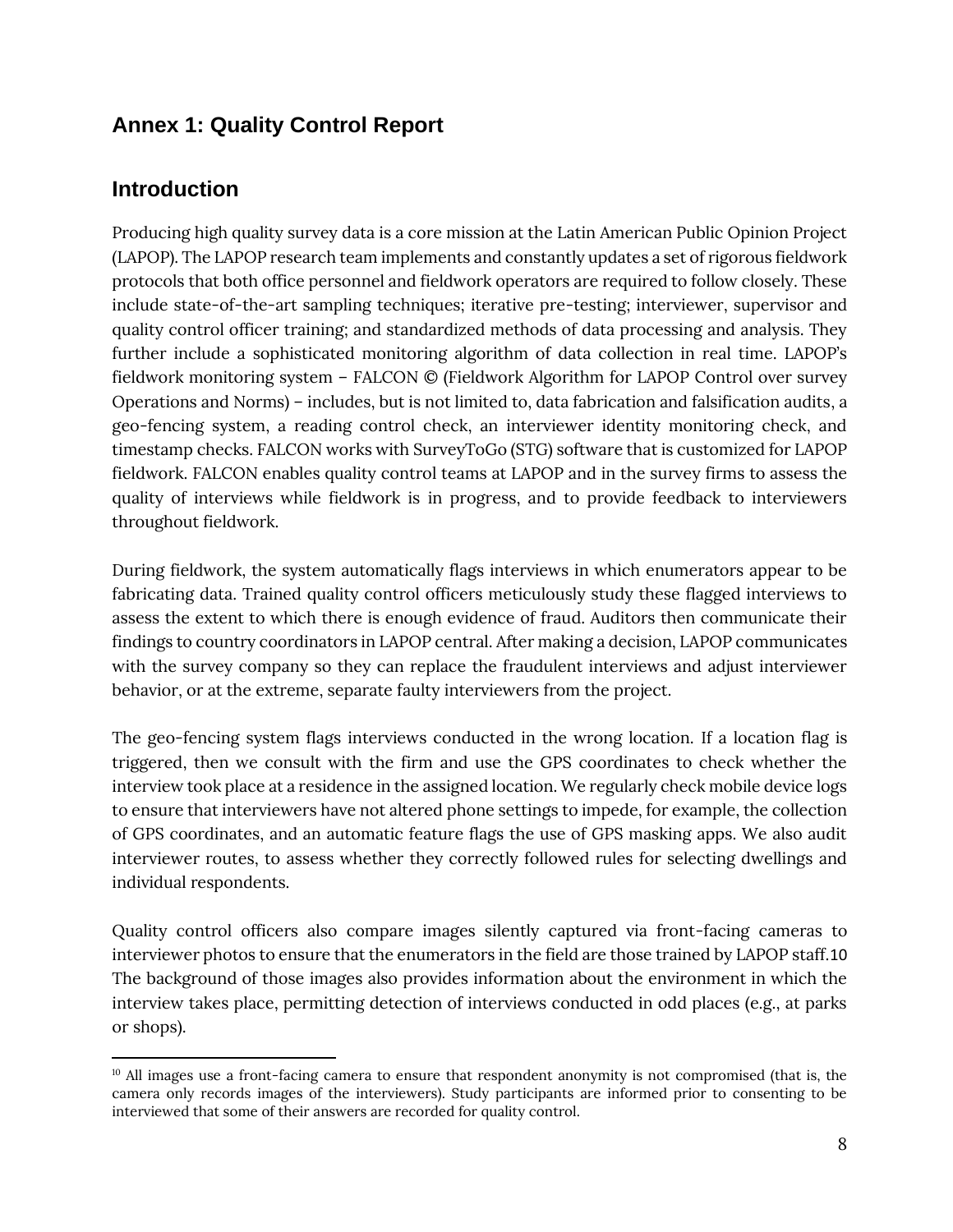# **Annex 1: Quality Control Report**

#### **Introduction**

Producing high quality survey data is a core mission at the Latin American Public Opinion Project (LAPOP). The LAPOP research team implements and constantly updates a set of rigorous fieldwork protocols that both office personnel and fieldwork operators are required to follow closely. These include state-of-the-art sampling techniques; iterative pre-testing; interviewer, supervisor and quality control officer training; and standardized methods of data processing and analysis. They further include a sophisticated monitoring algorithm of data collection in real time. LAPOP's fieldwork monitoring system – FALCON © (Fieldwork Algorithm for LAPOP Control over survey Operations and Norms) – includes, but is not limited to, data fabrication and falsification audits, a geo-fencing system, a reading control check, an interviewer identity monitoring check, and timestamp checks. FALCON works with SurveyToGo (STG) software that is customized for LAPOP fieldwork. FALCON enables quality control teams at LAPOP and in the survey firms to assess the quality of interviews while fieldwork is in progress, and to provide feedback to interviewers throughout fieldwork.

During fieldwork, the system automatically flags interviews in which enumerators appear to be fabricating data. Trained quality control officers meticulously study these flagged interviews to assess the extent to which there is enough evidence of fraud. Auditors then communicate their findings to country coordinators in LAPOP central. After making a decision, LAPOP communicates with the survey company so they can replace the fraudulent interviews and adjust interviewer behavior, or at the extreme, separate faulty interviewers from the project.

The geo-fencing system flags interviews conducted in the wrong location. If a location flag is triggered, then we consult with the firm and use the GPS coordinates to check whether the interview took place at a residence in the assigned location. We regularly check mobile device logs to ensure that interviewers have not altered phone settings to impede, for example, the collection of GPS coordinates, and an automatic feature flags the use of GPS masking apps. We also audit interviewer routes, to assess whether they correctly followed rules for selecting dwellings and individual respondents.

Quality control officers also compare images silently captured via front-facing cameras to interviewer photos to ensure that the enumerators in the field are those trained by LAPOP staff.10 The background of those images also provides information about the environment in which the interview takes place, permitting detection of interviews conducted in odd places (e.g., at parks or shops).

<sup>&</sup>lt;sup>10</sup> All images use a front-facing camera to ensure that respondent anonymity is not compromised (that is, the camera only records images of the interviewers). Study participants are informed prior to consenting to be interviewed that some of their answers are recorded for quality control.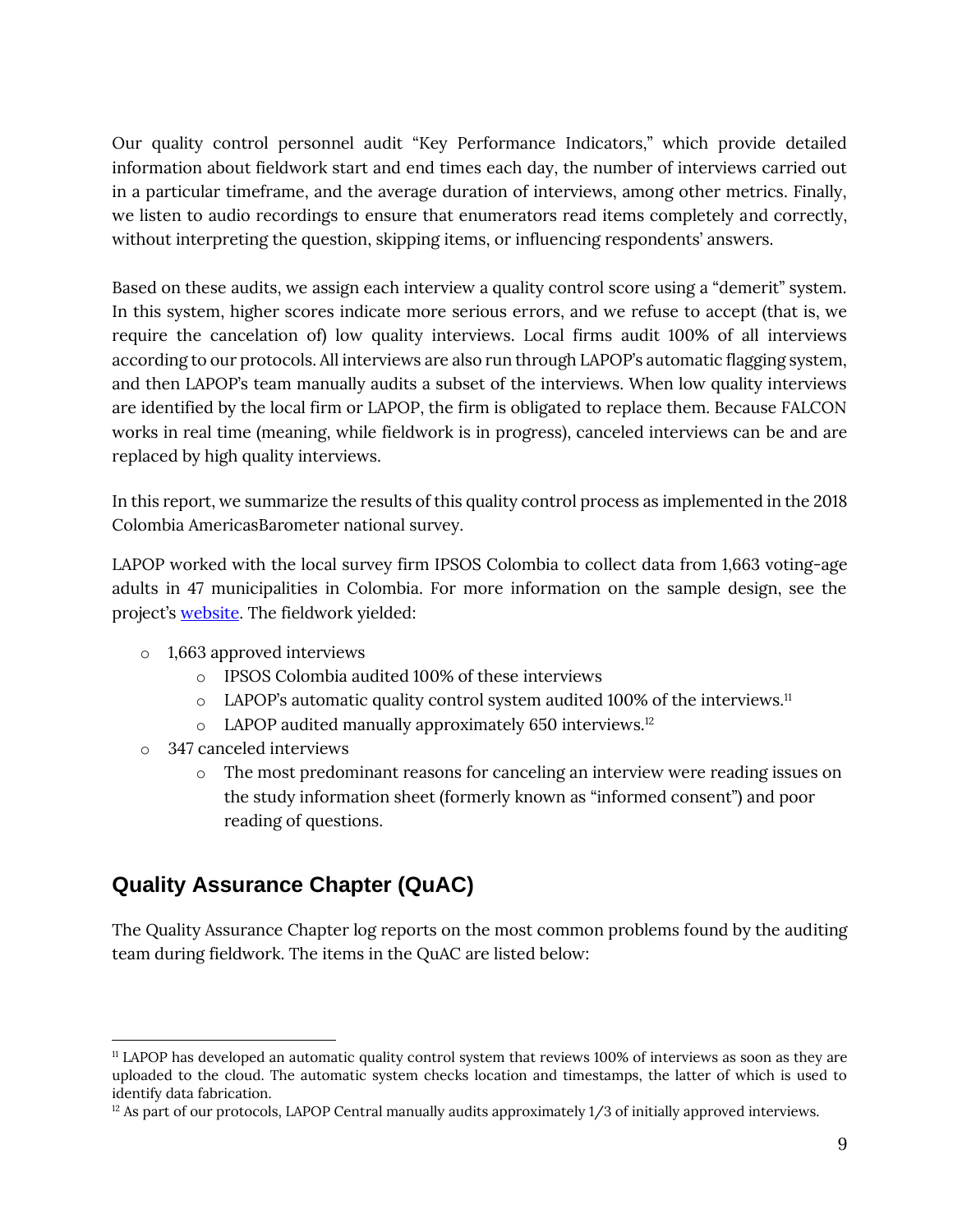Our quality control personnel audit "Key Performance Indicators," which provide detailed information about fieldwork start and end times each day, the number of interviews carried out in a particular timeframe, and the average duration of interviews, among other metrics. Finally, we listen to audio recordings to ensure that enumerators read items completely and correctly, without interpreting the question, skipping items, or influencing respondents' answers.

Based on these audits, we assign each interview a quality control score using a "demerit" system. In this system, higher scores indicate more serious errors, and we refuse to accept (that is, we require the cancelation of) low quality interviews. Local firms audit 100% of all interviews according to our protocols. All interviews are also run through LAPOP's automatic flagging system, and then LAPOP's team manually audits a subset of the interviews. When low quality interviews are identified by the local firm or LAPOP, the firm is obligated to replace them. Because FALCON works in real time (meaning, while fieldwork is in progress), canceled interviews can be and are replaced by high quality interviews.

In this report, we summarize the results of this quality control process as implemented in the 2018 Colombia AmericasBarometer national survey.

LAPOP worked with the local survey firm IPSOS Colombia to collect data from 1,663 voting-age adults in 47 municipalities in Colombia. For more information on the sample design, see the project's [website.](https://www.vanderbilt.edu/lapop/core-surveys.php) The fieldwork yielded:

- o 1,663 approved interviews
	- o IPSOS Colombia audited 100% of these interviews
	- $\circ$  LAPOP's automatic quality control system audited 100% of the interviews.<sup>11</sup>
	- o LAPOP audited manually approximately 650 interviews.<sup>12</sup>
- o 347 canceled interviews
	- o The most predominant reasons for canceling an interview were reading issues on the study information sheet (formerly known as "informed consent") and poor reading of questions.

# **Quality Assurance Chapter (QuAC)**

The Quality Assurance Chapter log reports on the most common problems found by the auditing team during fieldwork. The items in the QuAC are listed below:

<sup>11</sup> LAPOP has developed an automatic quality control system that reviews 100% of interviews as soon as they are uploaded to the cloud. The automatic system checks location and timestamps, the latter of which is used to identify data fabrication.

 $12$  As part of our protocols, LAPOP Central manually audits approximately 1/3 of initially approved interviews.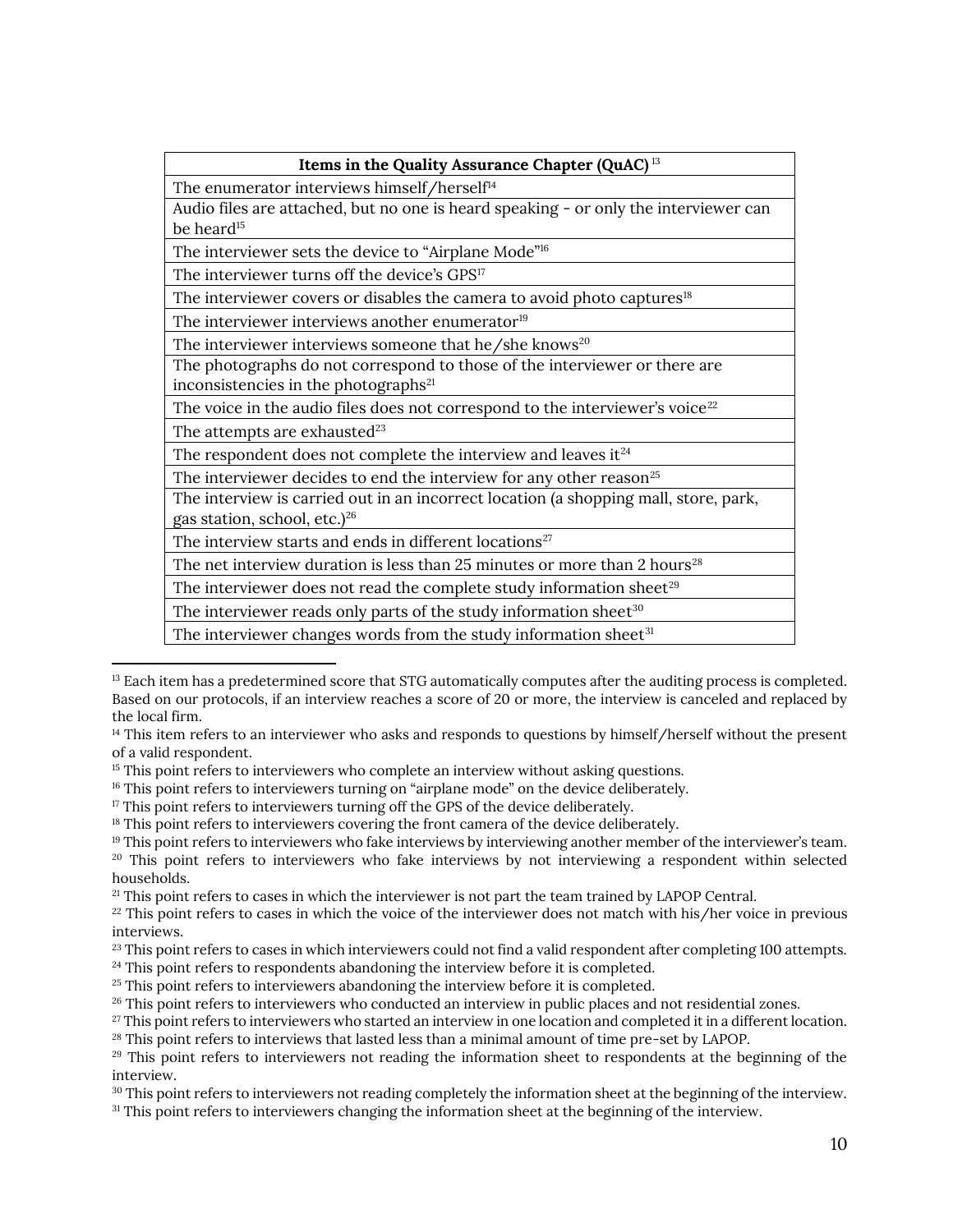| Items in the Quality Assurance Chapter (QuAC) <sup>13</sup>                           |  |  |  |
|---------------------------------------------------------------------------------------|--|--|--|
| The enumerator interviews himself/herself <sup>14</sup>                               |  |  |  |
| Audio files are attached, but no one is heard speaking - or only the interviewer can  |  |  |  |
| be heard <sup>15</sup>                                                                |  |  |  |
| The interviewer sets the device to "Airplane Mode" <sup>16</sup>                      |  |  |  |
| The interviewer turns off the device's GPS <sup>17</sup>                              |  |  |  |
| The interviewer covers or disables the camera to avoid photo captures <sup>18</sup>   |  |  |  |
| The interviewer interviews another enumerator <sup>19</sup>                           |  |  |  |
| The interviewer interviews someone that he/she knows <sup>20</sup>                    |  |  |  |
| The photographs do not correspond to those of the interviewer or there are            |  |  |  |
| inconsistencies in the photographs <sup>21</sup>                                      |  |  |  |
| The voice in the audio files does not correspond to the interviewer's voice $^{22}$   |  |  |  |
| The attempts are exhausted <sup>23</sup>                                              |  |  |  |
| The respondent does not complete the interview and leaves it $24$                     |  |  |  |
| The interviewer decides to end the interview for any other reason <sup>25</sup>       |  |  |  |
| The interview is carried out in an incorrect location (a shopping mall, store, park,  |  |  |  |
| gas station, school, etc.) <sup>26</sup>                                              |  |  |  |
| The interview starts and ends in different locations <sup>27</sup>                    |  |  |  |
| The net interview duration is less than 25 minutes or more than 2 hours <sup>28</sup> |  |  |  |
| The interviewer does not read the complete study information sheet $^{29}$            |  |  |  |
| The interviewer reads only parts of the study information sheet <sup>30</sup>         |  |  |  |
| The interviewer changes words from the study information sheet <sup>31</sup>          |  |  |  |
|                                                                                       |  |  |  |

<sup>&</sup>lt;sup>13</sup> Each item has a predetermined score that STG automatically computes after the auditing process is completed. Based on our protocols, if an interview reaches a score of 20 or more, the interview is canceled and replaced by the local firm.

<sup>&</sup>lt;sup>14</sup> This item refers to an interviewer who asks and responds to questions by himself/herself without the present of a valid respondent.

<sup>&</sup>lt;sup>15</sup> This point refers to interviewers who complete an interview without asking questions.

<sup>&</sup>lt;sup>16</sup> This point refers to interviewers turning on "airplane mode" on the device deliberately.

<sup>&</sup>lt;sup>17</sup> This point refers to interviewers turning off the GPS of the device deliberately.

<sup>&</sup>lt;sup>18</sup> This point refers to interviewers covering the front camera of the device deliberately.

<sup>&</sup>lt;sup>19</sup> This point refers to interviewers who fake interviews by interviewing another member of the interviewer's team. <sup>20</sup> This point refers to interviewers who fake interviews by not interviewing a respondent within selected households.

<sup>&</sup>lt;sup>21</sup> This point refers to cases in which the interviewer is not part the team trained by LAPOP Central.

 $22$  This point refers to cases in which the voice of the interviewer does not match with his/her voice in previous interviews.

<sup>&</sup>lt;sup>23</sup> This point refers to cases in which interviewers could not find a valid respondent after completing 100 attempts.

<sup>&</sup>lt;sup>24</sup> This point refers to respondents abandoning the interview before it is completed.

<sup>&</sup>lt;sup>25</sup> This point refers to interviewers abandoning the interview before it is completed.

<sup>&</sup>lt;sup>26</sup> This point refers to interviewers who conducted an interview in public places and not residential zones.

 $27$  This point refers to interviewers who started an interview in one location and completed it in a different location. <sup>28</sup> This point refers to interviews that lasted less than a minimal amount of time pre-set by LAPOP.

<sup>&</sup>lt;sup>29</sup> This point refers to interviewers not reading the information sheet to respondents at the beginning of the interview.

<sup>&</sup>lt;sup>30</sup> This point refers to interviewers not reading completely the information sheet at the beginning of the interview.

<sup>31</sup> This point refers to interviewers changing the information sheet at the beginning of the interview.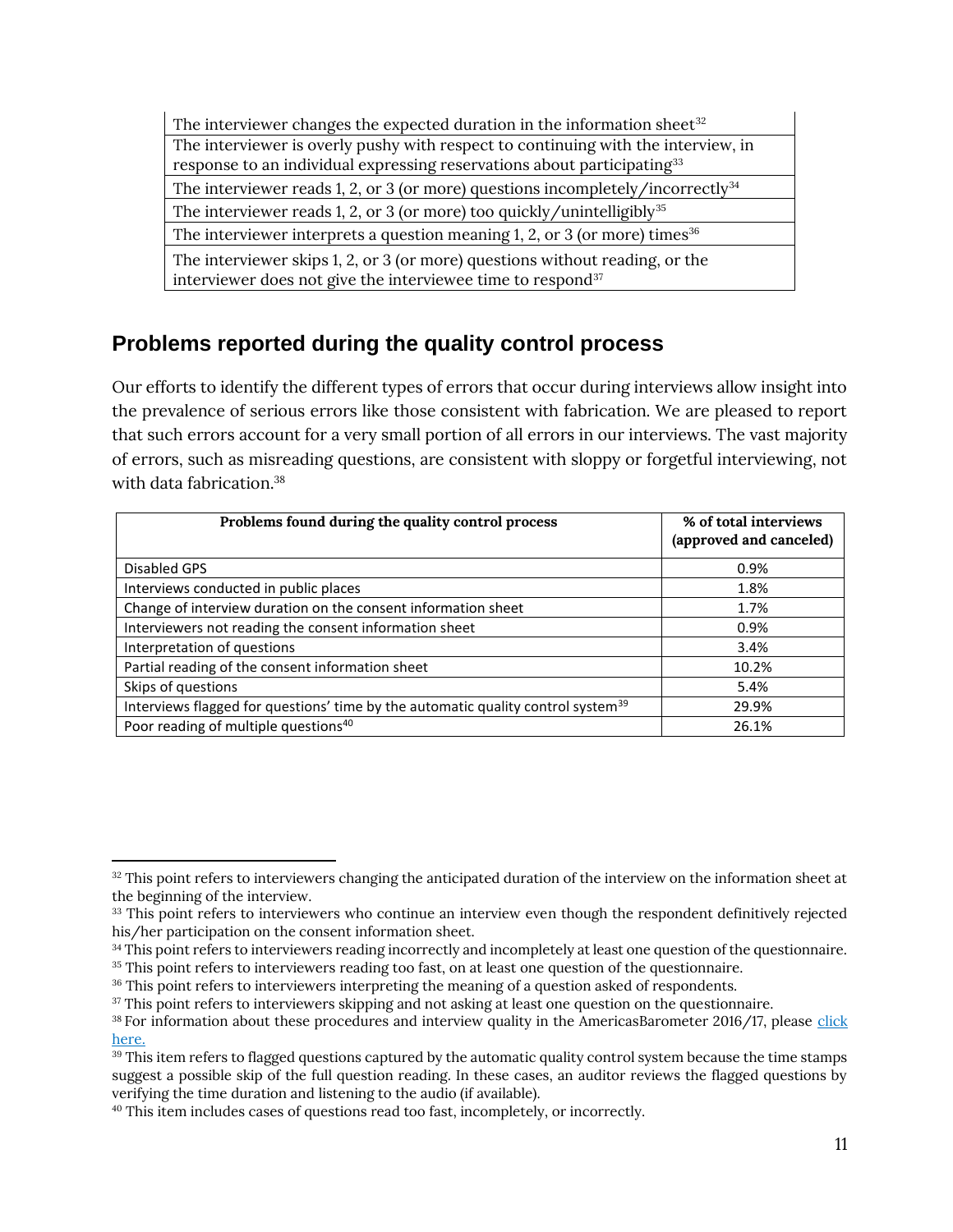The interviewer changes the expected duration in the information sheet $32$ The interviewer is overly pushy with respect to continuing with the interview, in response to an individual expressing reservations about participating<sup>33</sup> The interviewer reads 1, 2, or 3 (or more) questions incompletely/incorrectly $34$ The interviewer reads 1, 2, or 3 (or more) too quickly/unintelligibly<sup>35</sup> The interviewer interprets a question meaning 1, 2, or 3 (or more) times  $36$ The interviewer skips 1, 2, or 3 (or more) questions without reading, or the interviewer does not give the interviewee time to respond<sup>37</sup>

# **Problems reported during the quality control process**

Our efforts to identify the different types of errors that occur during interviews allow insight into the prevalence of serious errors like those consistent with fabrication. We are pleased to report that such errors account for a very small portion of all errors in our interviews. The vast majority of errors, such as misreading questions, are consistent with sloppy or forgetful interviewing, not with data fabrication  $38$ 

| Problems found during the quality control process                                            | % of total interviews<br>(approved and canceled) |
|----------------------------------------------------------------------------------------------|--------------------------------------------------|
| Disabled GPS                                                                                 | 0.9%                                             |
| Interviews conducted in public places                                                        | 1.8%                                             |
| Change of interview duration on the consent information sheet                                | 1.7%                                             |
| Interviewers not reading the consent information sheet                                       | 0.9%                                             |
| Interpretation of questions                                                                  | 3.4%                                             |
| Partial reading of the consent information sheet                                             | 10.2%                                            |
| Skips of questions                                                                           | 5.4%                                             |
| Interviews flagged for questions' time by the automatic quality control system <sup>39</sup> | 29.9%                                            |
| Poor reading of multiple questions <sup>40</sup>                                             | 26.1%                                            |

<sup>&</sup>lt;sup>32</sup> This point refers to interviewers changing the anticipated duration of the interview on the information sheet at the beginning of the interview.

<sup>&</sup>lt;sup>33</sup> This point refers to interviewers who continue an interview even though the respondent definitively rejected his/her participation on the consent information sheet.

<sup>&</sup>lt;sup>34</sup> This point refers to interviewers reading incorrectly and incompletely at least one question of the questionnaire.

<sup>&</sup>lt;sup>35</sup> This point refers to interviewers reading too fast, on at least one question of the questionnaire.

<sup>&</sup>lt;sup>36</sup> This point refers to interviewers interpreting the meaning of a question asked of respondents.

<sup>&</sup>lt;sup>37</sup> This point refers to interviewers skipping and not asking at least one question on the questionnaire.

<sup>38</sup> For information about these procedures and interview quality in the AmericasBarometer 2016/17, please [click](https://www.vanderbilt.edu/lapop/insights/IMN002en.pdf)  [here.](https://www.vanderbilt.edu/lapop/insights/IMN002en.pdf)

<sup>&</sup>lt;sup>39</sup> This item refers to flagged questions captured by the automatic quality control system because the time stamps suggest a possible skip of the full question reading. In these cases, an auditor reviews the flagged questions by verifying the time duration and listening to the audio (if available).

<sup>40</sup> This item includes cases of questions read too fast, incompletely, or incorrectly.